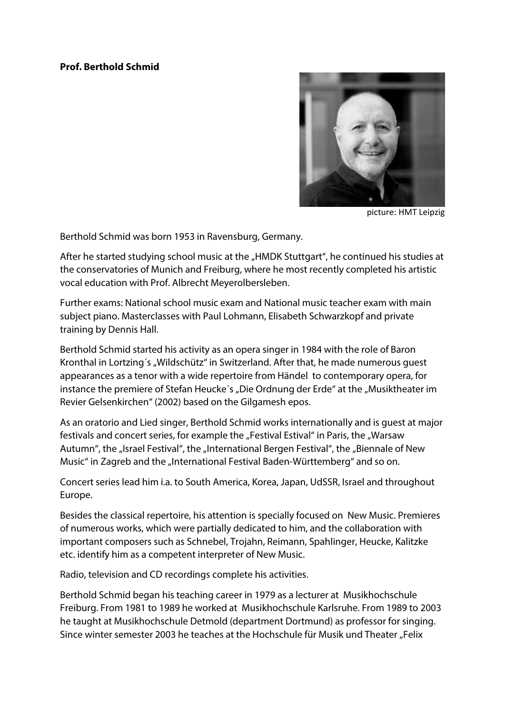## **Prof. Berthold Schmid**



picture: HMT Leipzig

Berthold Schmid was born 1953 in Ravensburg, Germany.

After he started studying school music at the "HMDK Stuttgart", he continued his studies at the conservatories of Munich and Freiburg, where he most recently completed his artistic vocal education with Prof. Albrecht Meyerolbersleben.

Further exams: National school music exam and National music teacher exam with main subject piano. Masterclasses with Paul Lohmann, Elisabeth Schwarzkopf and private training by Dennis Hall.

Berthold Schmid started his activity as an opera singer in 1984 with the role of Baron Kronthal in Lortzing's "Wildschütz" in Switzerland. After that, he made numerous quest appearances as a tenor with a wide repertoire from Händel to contemporary opera, for instance the premiere of Stefan Heucke's "Die Ordnung der Erde" at the "Musiktheater im Revier Gelsenkirchen" (2002) based on the Gilgamesh epos.

As an oratorio and Lied singer, Berthold Schmid works internationally and is guest at major festivals and concert series, for example the "Festival Estival" in Paris, the "Warsaw Autumn", the "Israel Festival", the "International Bergen Festival", the "Biennale of New Music" in Zagreb and the "International Festival Baden-Württemberg" and so on.

Concert series lead him i.a. to South America, Korea, Japan, UdSSR, Israel and throughout Europe.

Besides the classical repertoire, his attention is specially focused on New Music. Premieres of numerous works, which were partially dedicated to him, and the collaboration with important composers such as Schnebel, Trojahn, Reimann, Spahlinger, Heucke, Kalitzke etc. identify him as a competent interpreter of New Music.

Radio, television and CD recordings complete his activities.

Berthold Schmid began his teaching career in 1979 as a lecturer at Musikhochschule Freiburg. From 1981 to 1989 he worked at Musikhochschule Karlsruhe. From 1989 to 2003 he taught at Musikhochschule Detmold (department Dortmund) as professor for singing. Since winter semester 2003 he teaches at the Hochschule für Musik und Theater "Felix